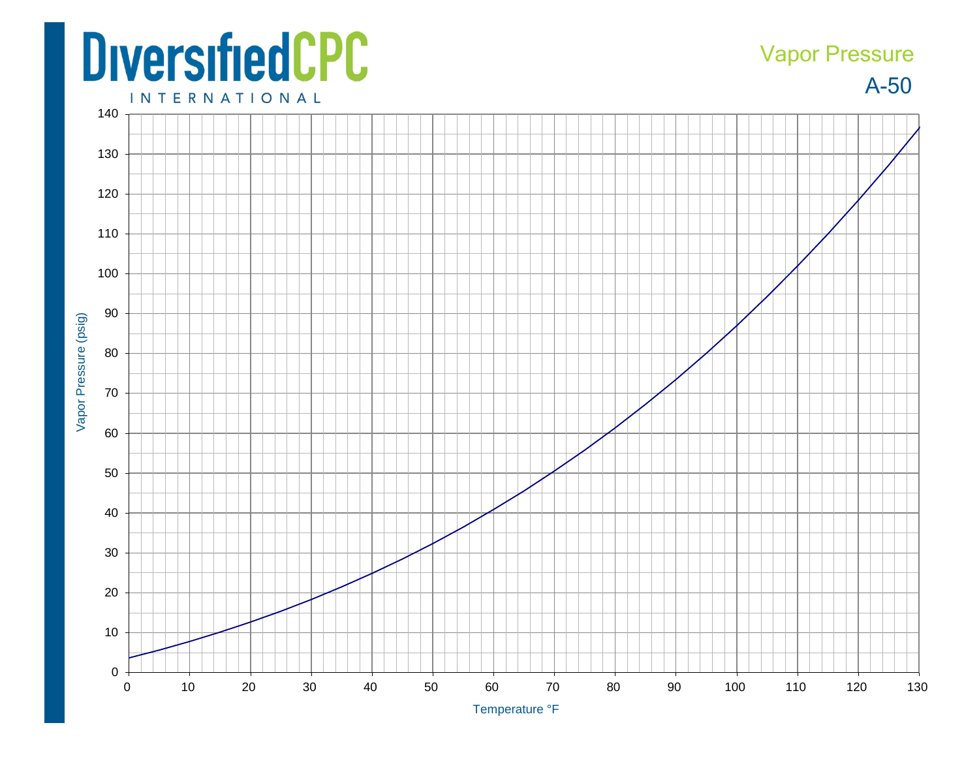## **DiversifiedCPC**

## Vapor Pressure

A-50